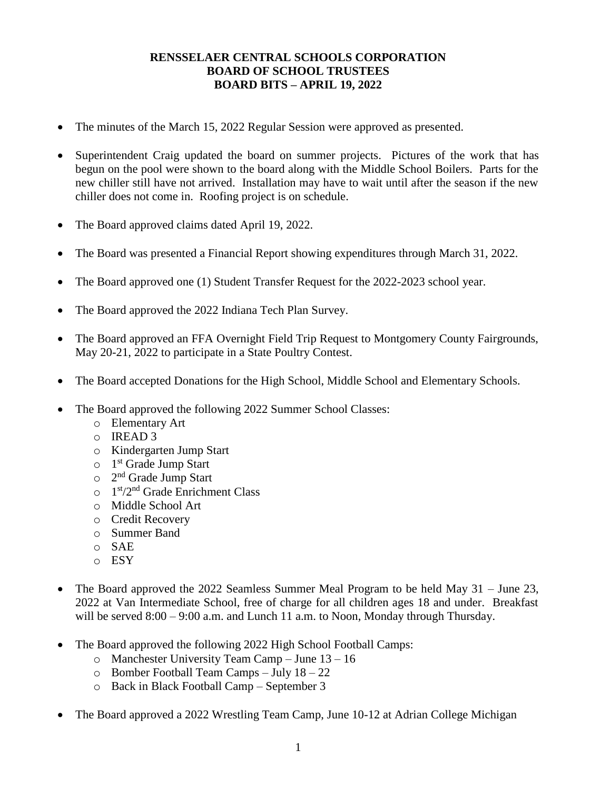## **RENSSELAER CENTRAL SCHOOLS CORPORATION BOARD OF SCHOOL TRUSTEES BOARD BITS – APRIL 19, 2022**

- The minutes of the March 15, 2022 Regular Session were approved as presented.
- Superintendent Craig updated the board on summer projects. Pictures of the work that has begun on the pool were shown to the board along with the Middle School Boilers. Parts for the new chiller still have not arrived. Installation may have to wait until after the season if the new chiller does not come in. Roofing project is on schedule.
- The Board approved claims dated April 19, 2022.
- The Board was presented a Financial Report showing expenditures through March 31, 2022.
- The Board approved one (1) Student Transfer Request for the 2022-2023 school year.
- The Board approved the 2022 Indiana Tech Plan Survey.
- The Board approved an FFA Overnight Field Trip Request to Montgomery County Fairgrounds, May 20-21, 2022 to participate in a State Poultry Contest.
- The Board accepted Donations for the High School, Middle School and Elementary Schools.
- The Board approved the following 2022 Summer School Classes:
	- o Elementary Art
	- o IREAD 3
	- o Kindergarten Jump Start
	- o 1<sup>st</sup> Grade Jump Start
	- o 2<sup>nd</sup> Grade Jump Start
	- o 1<sup>st</sup>/2<sup>nd</sup> Grade Enrichment Class
	- o Middle School Art
	- o Credit Recovery
	- o Summer Band
	- o SAE
	- o ESY
- The Board approved the 2022 Seamless Summer Meal Program to be held May  $31 -$  June 23, 2022 at Van Intermediate School, free of charge for all children ages 18 and under. Breakfast will be served  $8:00 - 9:00$  a.m. and Lunch 11 a.m. to Noon, Monday through Thursday.
- The Board approved the following 2022 High School Football Camps:
	- o Manchester University Team Camp June 13 16
	- $\circ$  Bomber Football Team Camps July 18 22
	- o Back in Black Football Camp September 3
- The Board approved a 2022 Wrestling Team Camp, June 10-12 at Adrian College Michigan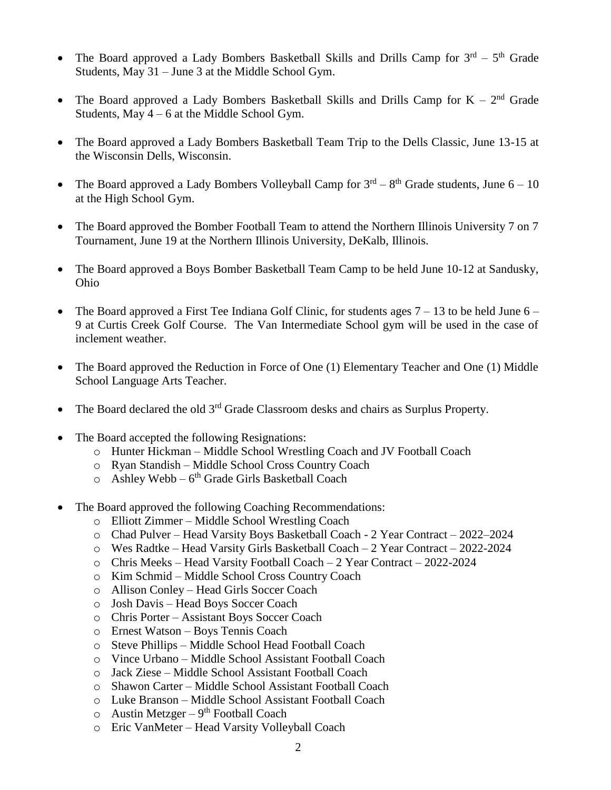- The Board approved a Lady Bombers Basketball Skills and Drills Camp for  $3<sup>rd</sup> 5<sup>th</sup>$  Grade Students, May 31 – June 3 at the Middle School Gym.
- The Board approved a Lady Bombers Basketball Skills and Drills Camp for  $K 2<sup>nd</sup>$  Grade Students, May  $4 - 6$  at the Middle School Gym.
- The Board approved a Lady Bombers Basketball Team Trip to the Dells Classic, June 13-15 at the Wisconsin Dells, Wisconsin.
- The Board approved a Lady Bombers Volleyball Camp for  $3^{rd} 8^{th}$  Grade students, June  $6 10$ at the High School Gym.
- The Board approved the Bomber Football Team to attend the Northern Illinois University 7 on 7 Tournament, June 19 at the Northern Illinois University, DeKalb, Illinois.
- The Board approved a Boys Bomber Basketball Team Camp to be held June 10-12 at Sandusky, Ohio
- The Board approved a First Tee Indiana Golf Clinic, for students ages  $7 13$  to be held June  $6 -$ 9 at Curtis Creek Golf Course. The Van Intermediate School gym will be used in the case of inclement weather.
- The Board approved the Reduction in Force of One (1) Elementary Teacher and One (1) Middle School Language Arts Teacher.
- The Board declared the old  $3<sup>rd</sup>$  Grade Classroom desks and chairs as Surplus Property.
- The Board accepted the following Resignations:
	- o Hunter Hickman Middle School Wrestling Coach and JV Football Coach
	- o Ryan Standish Middle School Cross Country Coach
	- $\circ$  Ashley Webb  $6<sup>th</sup>$  Grade Girls Basketball Coach
- The Board approved the following Coaching Recommendations:
	- o Elliott Zimmer Middle School Wrestling Coach
	- o Chad Pulver Head Varsity Boys Basketball Coach 2 Year Contract 2022–2024
	- o Wes Radtke Head Varsity Girls Basketball Coach 2 Year Contract 2022-2024
	- o Chris Meeks Head Varsity Football Coach 2 Year Contract 2022-2024
	- o Kim Schmid Middle School Cross Country Coach
	- o Allison Conley Head Girls Soccer Coach
	- o Josh Davis Head Boys Soccer Coach
	- o Chris Porter Assistant Boys Soccer Coach
	- o Ernest Watson Boys Tennis Coach
	- o Steve Phillips Middle School Head Football Coach
	- o Vince Urbano Middle School Assistant Football Coach
	- o Jack Ziese Middle School Assistant Football Coach
	- o Shawon Carter Middle School Assistant Football Coach
	- o Luke Branson Middle School Assistant Football Coach
	- $\circ$  Austin Metzger 9<sup>th</sup> Football Coach
	- o Eric VanMeter Head Varsity Volleyball Coach